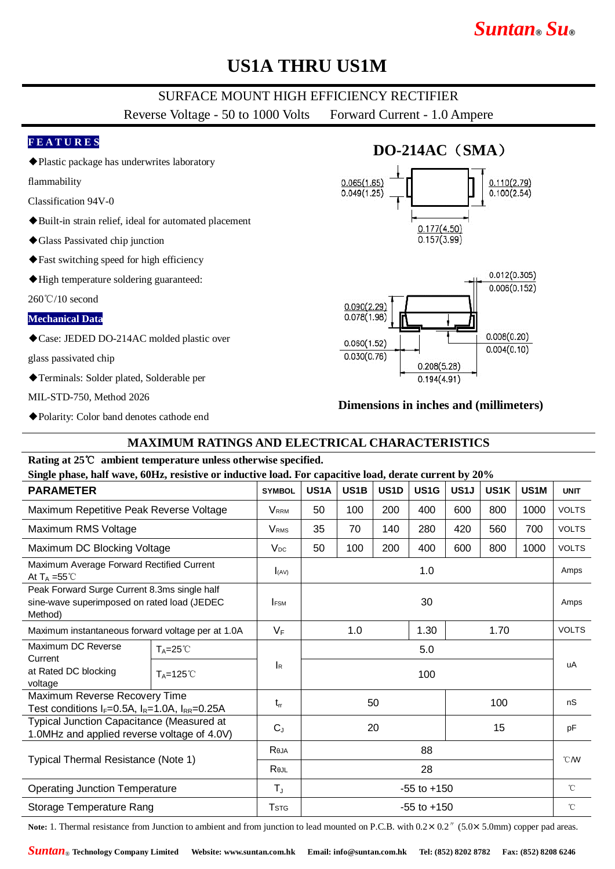# *Suntan***®** *Su***®**

## **US1A THRU US1M**

### SURFACE MOUNT HIGH EFFICIENCY RECTIFIER

Reverse Voltage - 50 to 1000 Volts Forward Current - 1.0 Ampere

#### **F E A T U R E S**

◆Plastic package has underwrites laboratory

flammability

- Classification 94V-0
- ◆Built-in strain relief, ideal for automated placement
- ◆Glass Passivated chip junction
- ◆Fast switching speed for high efficiency
- ◆High temperature soldering guaranteed:

260℃/10 second

#### **Mechanical Data**

◆Case: JEDED DO-214AC molded plastic over

glass passivated chip

◆Terminals: Solder plated, Solderable per

MIL-STD-750, Method 2026

◆Polarity: Color band denotes cathode end

# **DO-214AC**(**SMA**)





### **Dimensions in inches and (millimeters)**

### **MAXIMUM RATINGS AND ELECTRICAL CHARACTERISTICS**

#### **Rating at 25**℃ **ambient temperature unless otherwise specified.**

**Single phase, half wave, 60Hz, resistive or inductive load. For capacitive load, derate current by 20%**

| $\sigma$ , $\sigma$ , $\sigma$ , $\sigma$ , $\sigma$ , $\sigma$ , $\sigma$ , $\sigma$ , $\sigma$ , $\sigma$ , $\sigma$ , $\sigma$ , $\sigma$ , $\sigma$ , $\sigma$ , $\sigma$ , $\sigma$ , $\sigma$ , $\sigma$ , $\sigma$ , $\sigma$ , $\sigma$ , $\sigma$ , $\sigma$ , $\sigma$ , $\sigma$ , $\sigma$ , $\sigma$ , $\sigma$ , $\sigma$ , $\sigma$ , $\sigma$ |                      |                         |                     |      |      |      |      |                   |                   |                  |
|---------------------------------------------------------------------------------------------------------------------------------------------------------------------------------------------------------------------------------------------------------------------------------------------------------------------------------------------------------------|----------------------|-------------------------|---------------------|------|------|------|------|-------------------|-------------------|------------------|
| <b>PARAMETER</b>                                                                                                                                                                                                                                                                                                                                              |                      | <b>SYMBOL</b>           | US1A                | US1B | US1D | US1G | US1J | US <sub>1</sub> K | US <sub>1</sub> M | <b>UNIT</b>      |
| Maximum Repetitive Peak Reverse Voltage                                                                                                                                                                                                                                                                                                                       |                      | <b>VRRM</b>             | 50                  | 100  | 200  | 400  | 600  | 800               | 1000              | <b>VOLTS</b>     |
| Maximum RMS Voltage                                                                                                                                                                                                                                                                                                                                           |                      | <b>V</b> <sub>RMS</sub> | 35                  | 70   | 140  | 280  | 420  | 560               | 700               | <b>VOLTS</b>     |
| Maximum DC Blocking Voltage                                                                                                                                                                                                                                                                                                                                   |                      | $V_{DC}$                | 50                  | 100  | 200  | 400  | 600  | 800               | 1000              | <b>VOLTS</b>     |
| Maximum Average Forward Rectified Current<br>At $T_A = 55^{\circ}$ C                                                                                                                                                                                                                                                                                          |                      | I(AV)                   | 1.0                 |      |      |      |      |                   |                   | Amps             |
| Peak Forward Surge Current 8.3ms single half<br>sine-wave superimposed on rated load (JEDEC<br>Method)                                                                                                                                                                                                                                                        |                      | <b>FSM</b>              | 30                  |      |      |      |      |                   | Amps              |                  |
| Maximum instantaneous forward voltage per at 1.0A                                                                                                                                                                                                                                                                                                             |                      | $V_F$                   | 1.30<br>1.0<br>1.70 |      |      |      |      | <b>VOLTS</b>      |                   |                  |
| Maximum DC Reverse                                                                                                                                                                                                                                                                                                                                            | $T_A = 25^{\circ}$   |                         | 5.0                 |      |      |      |      |                   |                   | uA               |
| Current<br>at Rated DC blocking<br>voltage                                                                                                                                                                                                                                                                                                                    | $T_A = 125^{\circ}C$ | <b>I</b> R              | 100                 |      |      |      |      |                   |                   |                  |
| Maximum Reverse Recovery Time<br>Test conditions $I_F=0.5A$ , $I_R=1.0A$ , $I_{RR}=0.25A$                                                                                                                                                                                                                                                                     |                      | $t_{rr}$                |                     | 50   |      |      | 100  |                   |                   | nS               |
| Typical Junction Capacitance (Measured at<br>1.0MHz and applied reverse voltage of 4.0V)                                                                                                                                                                                                                                                                      |                      | $C_{J}$                 |                     | 20   |      |      | 15   |                   |                   | pF               |
| Typical Thermal Resistance (Note 1)                                                                                                                                                                                                                                                                                                                           |                      | Reja                    | 88                  |      |      |      |      |                   |                   | $\mathcal{C}$ MV |
|                                                                                                                                                                                                                                                                                                                                                               |                      | ReJL                    | 28                  |      |      |      |      |                   |                   |                  |
| <b>Operating Junction Temperature</b>                                                                                                                                                                                                                                                                                                                         |                      | $T_{\rm J}$             | $-55$ to $+150$     |      |      |      |      |                   | $^{\circ}$ C      |                  |
| Storage Temperature Rang                                                                                                                                                                                                                                                                                                                                      |                      | <b>T</b> <sub>STG</sub> | $-55$ to $+150$     |      |      |      |      |                   | $^{\circ}$ C      |                  |

Note: 1. Thermal resistance from Junction to ambient and from junction to lead mounted on P.C.B. with  $0.2 \times 0.2$ <sup>"</sup> ( $5.0 \times 5.0$ mm) copper pad areas.

*Suntan*® **Technology Company Limited Website: www.suntan.com.hk Email: info@suntan.com.hk Tel: (852) 8202 8782 Fax: (852) 8208 6246**